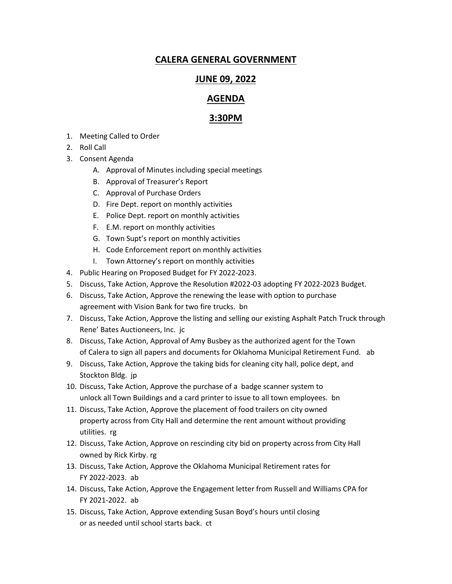## **CALERA GENERAL GOVERNMENT**

## **JUNE 09, 2022**

## **AGENDA**

## **3:30PM**

- 1. Meeting Called to Order
- 2. Roll Call
- 3. Consent Agenda
	- A. Approval of Minutes including special meetings
	- B. Approval of Treasurer's Report
	- C. Approval of Purchase Orders
	- D. Fire Dept. report on monthly activities
	- E. Police Dept. report on monthly activities
	- F. E.M. report on monthly activities
	- G. Town Supt's report on monthly activities
	- H. Code Enforcement report on monthly activities
	- I. Town Attorney's report on monthly activities
- 4. Public Hearing on Proposed Budget for FY 2022-2023.
- 5. Discuss, Take Action, Approve the Resolution #2022-03 adopting FY 2022-2023 Budget.
- 6. Discuss, Take Action, Approve the renewing the lease with option to purchase agreement with Vision Bank for two fire trucks. bn
- 7. Discuss, Take Action, Approve the listing and selling our existing Asphalt Patch Truck through Rene' Bates Auctioneers, Inc. jc
- 8. Discuss, Take Action, Approval of Amy Busbey as the authorized agent for the Town of Calera to sign all papers and documents for Oklahoma Municipal Retirement Fund. ab
- 9. Discuss, Take Action, Approve the taking bids for cleaning city hall, police dept, and Stockton Bldg. jp
- 10. Discuss, Take Action, Approve the purchase of a badge scanner system to unlock all Town Buildings and a card printer to issue to all town employees. bn
- 11. Discuss, Take Action, Approve the placement of food trailers on city owned property across from City Hall and determine the rent amount without providing utilities. rg
- 12. Discuss, Take Action, Approve on rescinding city bid on property across from City Hall owned by Rick Kirby. rg
- 13. Discuss, Take Action, Approve the Oklahoma Municipal Retirement rates for FY 2022-2023. ab
- 14. Discuss, Take Action, Approve the Engagement letter from Russell and Williams CPA for FY 2021-2022. ab
- 15. Discuss, Take Action, Approve extending Susan Boyd's hours until closing or as needed until school starts back. ct